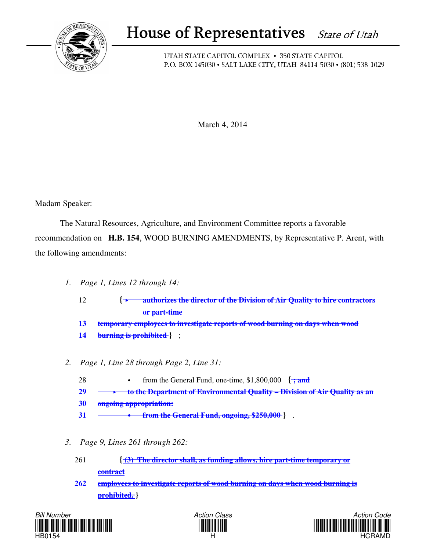

## House of Representatives State of Utah

UTAH STATE CAPITOL COMPLEX • 350 STATE CAPITOL P.O. BOX 145030 • SALT LAKE CITY, UTAH 84114-5030 • (801) 538-1029

March 4, 2014

Madam Speaker:

 The Natural Resources, Agriculture, and Environment Committee reports a favorable recommendation on **H.B. 154**, WOOD BURNING AMENDMENTS, by Representative P. Arent, with the following amendments:

- *1. Page 1, Lines 12 through 14:*
	- 12 **{ authorizes the director of the Division of Air Quality to hire contractors or part-time**
	- **13 temporary employees to investigate reports of wood burning on days when wood**
	- **14 burning is prohibited }** ;
- *2. Page 1, Line 28 through Page 2, Line 31:*
	- 28 **from the General Fund, one-time, \$1,800,000** { $\div$ **and**
	- **29 to the Department of Environmental Quality Division of Air Quality as an**
	- **30 ongoing appropriation:**
	- **31 from the General Fund, ongoing, \$250,000 }** .
- *3. Page 9, Lines 261 through 262:*
	- 261 **{ (3) The director shall, as funding allows, hire part-time temporary or contract**
	- **262 employees to investigate reports of wood burning on days when wood burning is prohibited. }**